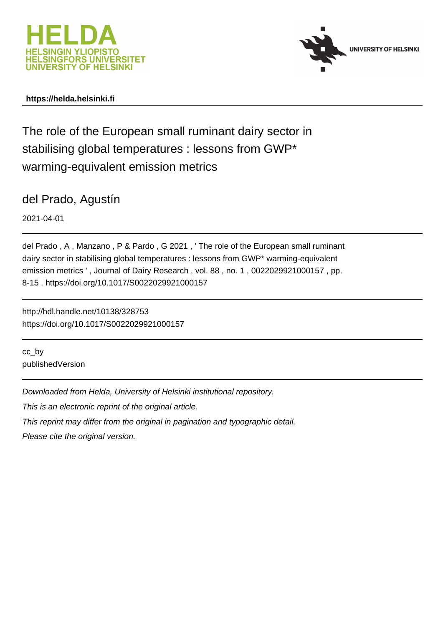



# **https://helda.helsinki.fi**

The role of the European small ruminant dairy sector in stabilising global temperatures : lessons from GWP\* warming-equivalent emission metrics

del Prado, Agustín

2021-04-01

del Prado , A , Manzano , P & Pardo , G 2021 , ' The role of the European small ruminant dairy sector in stabilising global temperatures : lessons from GWP\* warming-equivalent emission metrics ', Journal of Dairy Research, vol. 88, no. 1, 0022029921000157, pp. 8-15 . https://doi.org/10.1017/S0022029921000157

http://hdl.handle.net/10138/328753 https://doi.org/10.1017/S0022029921000157

cc\_by publishedVersion

Downloaded from Helda, University of Helsinki institutional repository.

This is an electronic reprint of the original article.

This reprint may differ from the original in pagination and typographic detail.

Please cite the original version.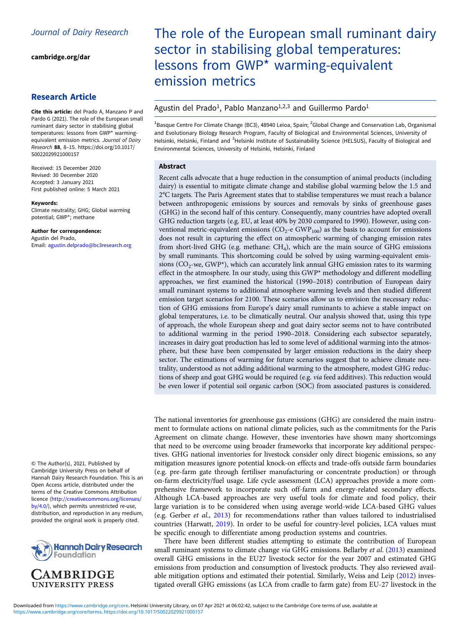[cambridge.org/dar](https://www.cambridge.org/dar)

### Research Article

Cite this article: del Prado A, Manzano P and Pardo G (2021). The role of the European small ruminant dairy sector in stabilising global temperatures: lessons from GWP\* warmingequivalent emission metrics. Journal of Dairy Research 88, 8–15. [https://doi.org/10.1017/](https://doi.org/10.1017/S0022029921000157) [S0022029921000157](https://doi.org/10.1017/S0022029921000157)

Received: 15 December 2020 Revised: 30 December 2020 Accepted: 3 January 2021 First published online: 5 March 2021

#### Keywords:

Climate neutrality; GHG; Global warming potential; GWP\*; methane

Author for correspondence: Agustin del Prado, Email: [agustin.delprado@bc3research.org](mailto:agustin.delprado@bc3research.org)

© The Author(s), 2021. Published by Cambridge University Press on behalf of Hannah Dairy Research Foundation. This is an Open Access article, distributed under the terms of the Creative Commons Attribution licence [\(http://creativecommons.org/licenses/](http://creativecommons.org/licenses/by/4.0/) [by/4.0/\)](http://creativecommons.org/licenses/by/4.0/), which permits unrestricted re-use, distribution, and reproduction in any medium, provided the original work is properly cited.



# **UNIVERSITY PRESS**

# The role of the European small ruminant dairy sector in stabilising global temperatures: lessons from GWP\* warming-equivalent emission metrics

## Agustin del Prado<sup>1</sup>, Pablo Manzano<sup>1,2,3</sup> and Guillermo Pardo<sup>1</sup>

<sup>1</sup>Basque Centre For Climate Change (BC3), 48940 Leioa, Spain; <sup>2</sup>Global Change and Conservation Lab, Organismal and Evolutionary Biology Research Program, Faculty of Biological and Environmental Sciences, University of Helsinki, Helsinki, Finland and <sup>3</sup>Helsinki Institute of Sustainability Science (HELSUS), Faculty of Biological and Environmental Sciences, University of Helsinki, Helsinki, Finland

#### Abstract

Recent calls advocate that a huge reduction in the consumption of animal products (including dairy) is essential to mitigate climate change and stabilise global warming below the 1.5 and 2°C targets. The Paris Agreement states that to stabilise temperatures we must reach a balance between anthropogenic emissions by sources and removals by sinks of greenhouse gases (GHG) in the second half of this century. Consequently, many countries have adopted overall GHG reduction targets (e.g. EU, at least 40% by 2030 compared to 1990). However, using conventional metric-equivalent emissions ( $CO<sub>2</sub>$ -e GWP<sub>100</sub>) as the basis to account for emissions does not result in capturing the effect on atmospheric warming of changing emission rates from short-lived GHG (e.g. methane: CH4), which are the main source of GHG emissions by small ruminants. This shortcoming could be solved by using warming-equivalent emissions ( $CO<sub>2</sub>$ -we, GWP\*), which can accurately link annual GHG emission rates to its warming effect in the atmosphere. In our study, using this GWP\* methodology and different modelling approaches, we first examined the historical (1990–2018) contribution of European dairy small ruminant systems to additional atmosphere warming levels and then studied different emission target scenarios for 2100. These scenarios allow us to envision the necessary reduction of GHG emissions from Europe's dairy small ruminants to achieve a stable impact on global temperatures, i.e. to be climatically neutral. Our analysis showed that, using this type of approach, the whole European sheep and goat dairy sector seems not to have contributed to additional warming in the period 1990–2018. Considering each subsector separately, increases in dairy goat production has led to some level of additional warming into the atmosphere, but these have been compensated by larger emission reductions in the dairy sheep sector. The estimations of warming for future scenarios suggest that to achieve climate neutrality, understood as not adding additional warming to the atmosphere, modest GHG reductions of sheep and goat GHG would be required (e.g. via feed additives). This reduction would be even lower if potential soil organic carbon (SOC) from associated pastures is considered.

The national inventories for greenhouse gas emissions (GHG) are considered the main instrument to formulate actions on national climate policies, such as the commitments for the Paris Agreement on climate change. However, these inventories have shown many shortcomings that need to be overcome using broader frameworks that incorporate key additional perspectives. GHG national inventories for livestock consider only direct biogenic emissions, so any mitigation measures ignore potential knock-on effects and trade-offs outside farm boundaries (e.g. pre-farm gate through fertiliser manufacturing or concentrate production) or through on-farm electricity/fuel usage. Life cycle assessment (LCA) approaches provide a more comprehensive framework to incorporate such off-farm and energy-related secondary effects. Although LCA-based approaches are very useful tools for climate and food policy, their large variation is to be considered when using average world-wide LCA-based GHG values (e.g. Gerber et al., 2013) for recommendations rather than values tailored to industrialised countries (Harwatt, 2019). In order to be useful for country-level policies, LCA values must be specific enough to differentiate among production systems and countries.

There have been different studies attempting to estimate the contribution of European small ruminant systems to climate change via GHG emissions. Bellarby et al. (2013) examined overall GHG emissions in the EU27 livestock sector for the year 2007 and estimated GHG emissions from production and consumption of livestock products. They also reviewed available mitigation options and estimated their potential. Similarly, Weiss and Leip (2012) investigated overall GHG emissions (as LCA from cradle to farm gate) from EU-27 livestock in the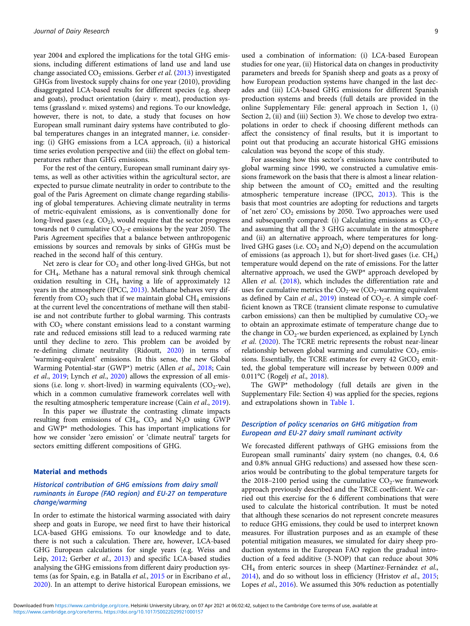year 2004 and explored the implications for the total GHG emissions, including different estimations of land use and land use change associated  $CO<sub>2</sub>$  emissions. Gerber *et al.* (2013) investigated GHGs from livestock supply chains for one year (2010), providing disaggregated LCA-based results for different species (e.g. sheep and goats), product orientation (dairy  $\nu$ . meat), production systems (grassland v. mixed systems) and regions. To our knowledge, however, there is not, to date, a study that focuses on how European small ruminant dairy systems have contributed to global temperatures changes in an integrated manner, i.e. considering: (i) GHG emissions from a LCA approach, (ii) a historical time series evolution perspective and (iii) the effect on global temperatures rather than GHG emissions.

For the rest of the century, European small ruminant dairy systems, as well as other activities within the agricultural sector, are expected to pursue climate neutrality in order to contribute to the goal of the Paris Agreement on climate change regarding stabilising of global temperatures. Achieving climate neutrality in terms of metric-equivalent emissions, as is conventionally done for long-lived gases (e.g.  $CO<sub>2</sub>$ ), would require that the sector progress towards net 0 cumulative  $CO<sub>2</sub>$ -e emissions by the year 2050. The Paris Agreement specifies that a balance between anthropogenic emissions by sources and removals by sinks of GHGs must be reached in the second half of this century.

Net zero is clear for  $CO<sub>2</sub>$  and other long-lived GHGs, but not for CH4. Methane has a natural removal sink through chemical oxidation resulting in  $CH<sub>4</sub>$  having a life of approximately 12 years in the atmosphere (IPCC, 2013). Methane behaves very differently from  $CO<sub>2</sub>$  such that if we maintain global  $CH<sub>4</sub>$  emissions at the current level the concentrations of methane will then stabilise and not contribute further to global warming. This contrasts with  $CO<sub>2</sub>$  where constant emissions lead to a constant warming rate and reduced emissions still lead to a reduced warming rate until they decline to zero. This problem can be avoided by re-defining climate neutrality (Ridoutt, 2020) in terms of 'warming-equivalent' emissions. In this sense, the new Global Warming Potential-star (GWP\*) metric (Allen et al., 2018; Cain et al., 2019; Lynch et al., 2020) allows the expression of all emissions (i.e. long v. short-lived) in warming equivalents  $(CO<sub>2</sub>-we)$ , which in a common cumulative framework correlates well with the resulting atmospheric temperature increase (Cain et al., 2019).

In this paper we illustrate the contrasting climate impacts resulting from emissions of  $CH_4$ ,  $CO_2$  and  $N_2O$  using GWP and GWP\* methodologies. This has important implications for how we consider 'zero emission' or 'climate neutral' targets for sectors emitting different compositions of GHG.

#### Material and methods

#### Historical contribution of GHG emissions from dairy small ruminants in Europe (FAO region) and EU-27 on temperature change/warming

In order to estimate the historical warming associated with dairy sheep and goats in Europe, we need first to have their historical LCA-based GHG emissions. To our knowledge and to date, there is not such a calculation. There are, however, LCA-based GHG European calculations for single years (e.g. Weiss and Leip, 2012; Gerber et al., 2013) and specific LCA-based studies analysing the GHG emissions from different dairy production systems (as for Spain, e.g. in Batalla et al., 2015 or in Escribano et al., 2020). In an attempt to derive historical European emissions, we used a combination of information: (i) LCA-based European studies for one year, (ii) Historical data on changes in productivity parameters and breeds for Spanish sheep and goats as a proxy of how European production systems have changed in the last decades and (iii) LCA-based GHG emissions for different Spanish production systems and breeds (full details are provided in the online Supplementary File: general approach in Section 1, (i) Section 2, (ii) and (iii) Section 3). We chose to develop two extrapolations in order to check if choosing different methods can affect the consistency of final results, but it is important to point out that producing an accurate historical GHG emissions calculation was beyond the scope of this study.

For assessing how this sector's emissions have contributed to global warming since 1990, we constructed a cumulative emissions framework on the basis that there is almost a linear relationship between the amount of  $CO<sub>2</sub>$  emitted and the resulting atmospheric temperature increase (IPCC, 2013). This is the basis that most countries are adopting for reductions and targets of 'net zero'  $CO<sub>2</sub>$  emissions by 2050. Two approaches were used and subsequently compared: (i) Calculating emissions as  $CO<sub>2</sub>$ -e and assuming that all the 3 GHG accumulate in the atmosphere and (ii) an alternative approach, where temperatures for longlived GHG gases (i.e.  $CO<sub>2</sub>$  and N<sub>2</sub>O) depend on the accumulation of emissions (as approach 1), but for short-lived gases (i.e.  $CH<sub>4</sub>$ ) temperature would depend on the rate of emissions. For the latter alternative approach, we used the GWP\* approach developed by Allen *et al.* (2018), which includes the differentiation rate and uses for cumulative metrics the  $CO_2$ -we  $(CO_2$ -warming equivalent as defined by Cain *et al.*, 2019) instead of  $CO_2$ -e. A simple coefficient known as TRCE (transient climate response to cumulative carbon emissions) can then be multiplied by cumulative  $CO<sub>2</sub>$ -we to obtain an approximate estimate of temperature change due to the change in  $CO_2$ -we burden experienced, as explained by Lynch et al. (2020). The TCRE metric represents the robust near-linear relationship between global warming and cumulative  $CO<sub>2</sub>$  emissions. Essentially, the TCRE estimates for every  $42$  GtCO<sub>2</sub> emitted, the global temperature will increase by between 0.009 and 0.011°C (Rogelj et al., 2018).

The GWP\* methodology (full details are given in the Supplementary File: Section 4) was applied for the species, regions and extrapolations shown in Table 1.

#### Description of policy scenarios on GHG mitigation from European and EU-27 dairy small ruminant activity

We forecasted different pathways of GHG emissions from the European small ruminants' dairy system (no changes, 0.4, 0.6 and 0.8% annual GHG reductions) and assessed how these scenarios would be contributing to the global temperature targets for the 2018–2100 period using the cumulative  $CO<sub>2</sub>$ -we framework approach previously described and the TRCE coefficient. We carried out this exercise for the 6 different combinations that were used to calculate the historical contribution. It must be noted that although these scenarios do not represent concrete measures to reduce GHG emissions, they could be used to interpret known measures. For illustration purposes and as an example of these potential mitigation measures, we simulated for dairy sheep production systems in the European FAO region the gradual introduction of a feed additive (3-NOP) that can reduce about 30% CH4 from enteric sources in sheep (Martínez-Fernández et al., 2014), and do so without loss in efficiency (Hristov et al., 2015; Lopes et al., 2016). We assumed this 30% reduction as potentially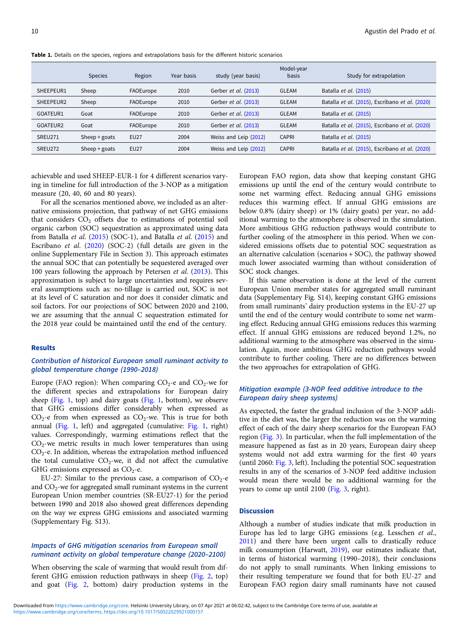|           | <b>Species</b>  | Region      | Year basis | study (year basis)    | Model-year<br>basis | Study for extrapolation                        |
|-----------|-----------------|-------------|------------|-----------------------|---------------------|------------------------------------------------|
| SHEEPEUR1 | Sheep           | FAOEurope   | 2010       | Gerber et al. (2013)  | <b>GLEAM</b>        | Batalla et al. (2015)                          |
| SHEEPEUR2 | Sheep           | FAOEurope   | 2010       | Gerber et al. (2013)  | <b>GLEAM</b>        | Batalla et al. (2015), Escribano et al. (2020) |
| GOATEUR1  | Goat            | FAOEurope   | 2010       | Gerber et al. (2013)  | <b>GLEAM</b>        | Batalla et al. (2015)                          |
| GOATEUR2  | Goat            | FAOEurope   | 2010       | Gerber et al. (2013)  | <b>GLEAM</b>        | Batalla et al. (2015), Escribano et al. (2020) |
| SREU271   | Sheep $+$ goats | <b>EU27</b> | 2004       | Weiss and Leip (2012) | <b>CAPRI</b>        | Batalla et al. (2015)                          |
| SREU272   | Sheep $+$ goats | <b>EU27</b> | 2004       | Weiss and Leip (2012) | <b>CAPRI</b>        | Batalla et al. (2015), Escribano et al. (2020) |

Table 1. Details on the species, regions and extrapolations basis for the different historic scenarios

achievable and used SHEEP-EUR-1 for 4 different scenarios varying in timeline for full introduction of the 3-NOP as a mitigation measure (20, 40, 60 and 80 years).

For all the scenarios mentioned above, we included as an alternative emissions projection, that pathway of net GHG emissions that considers  $CO<sub>2</sub>$  offsets due to estimations of potential soil organic carbon (SOC) sequestration as approximated using data from Batalla et al.  $(2015)$  (SOC-1), and Batalla et al.  $(2015)$  and Escribano et al. (2020) (SOC-2) (full details are given in the online Supplementary File in Section 3). This approach estimates the annual SOC that can potentially be sequestered averaged over 100 years following the approach by Petersen et al. (2013). This approximation is subject to large uncertainties and requires several assumptions such as: no-tillage is carried out, SOC is not at its level of C saturation and nor does it consider climatic and soil factors. For our projections of SOC between 2020 and 2100, we are assuming that the annual C sequestration estimated for the 2018 year could be maintained until the end of the century.

#### Results

#### Contribution of historical European small ruminant activity to global temperature change (1990–2018)

Europe (FAO region): When comparing  $CO_2$ -e and  $CO_2$ -we for the different species and extrapolations for European dairy sheep (Fig. 1, top) and dairy goats (Fig. 1, bottom), we observe that GHG emissions differ considerably when expressed as  $CO<sub>2</sub>$ -e from when expressed as  $CO<sub>2</sub>$ -we. This is true for both annual (Fig. 1, left) and aggregated (cumulative: Fig. 1, right) values. Correspondingly, warming estimations reflect that the  $CO<sub>2</sub>$ -we metric results in much lower temperatures than using  $CO<sub>2</sub>$ -e. In addition, whereas the extrapolation method influenced the total cumulative  $CO_2$ -we, it did not affect the cumulative GHG emissions expressed as  $CO<sub>2</sub>$ -e.

EU-27: Similar to the previous case, a comparison of  $CO_2$ -e and  $CO<sub>2</sub>$ -we for aggregated small ruminant systems in the current European Union member countries (SR-EU27-1) for the period between 1990 and 2018 also showed great differences depending on the way we express GHG emissions and associated warming (Supplementary Fig. S13).

#### Impacts of GHG mitigation scenarios from European small ruminant activity on global temperature change (2020–2100)

When observing the scale of warming that would result from different GHG emission reduction pathways in sheep (Fig. 2, top) and goat (Fig. 2, bottom) dairy production systems in the European FAO region, data show that keeping constant GHG emissions up until the end of the century would contribute to some net warming effect. Reducing annual GHG emissions reduces this warming effect. If annual GHG emissions are below 0.8% (dairy sheep) or 1% (dairy goats) per year, no additional warming to the atmosphere is observed in the simulation. More ambitious GHG reduction pathways would contribute to further cooling of the atmosphere in this period. When we considered emissions offsets due to potential SOC sequestration as an alternative calculation (scenarios + SOC), the pathway showed much lower associated warming than without consideration of SOC stock changes.

If this same observation is done at the level of the current European Union member states for aggregated small ruminant data (Supplementary Fig. S14), keeping constant GHG emissions from small ruminants' dairy production systems in the EU-27 up until the end of the century would contribute to some net warming effect. Reducing annual GHG emissions reduces this warming effect. If annual GHG emissions are reduced beyond 1.2%, no additional warming to the atmosphere was observed in the simulation. Again, more ambitious GHG reduction pathways would contribute to further cooling. There are no differences between the two approaches for extrapolation of GHG.

#### Mitigation example (3-NOP feed additive introduce to the European dairy sheep systems)

As expected, the faster the gradual inclusion of the 3-NOP additive in the diet was, the larger the reduction was on the warming effect of each of the dairy sheep scenarios for the European FAO region (Fig. 3). In particular, when the full implementation of the measure happened as fast as in 20 years, European dairy sheep systems would not add extra warming for the first 40 years (until 2060: Fig. 3, left). Including the potential SOC sequestration results in any of the scenarios of 3-NOP feed additive inclusion would mean there would be no additional warming for the years to come up until 2100 (Fig. 3, right).

#### **Discussion**

Although a number of studies indicate that milk production in Europe has led to large GHG emissions (e.g. Lesschen et al., 2011) and there have been urgent calls to drastically reduce milk consumption (Harwatt, 2019), our estimates indicate that, in terms of historical warming (1990–2018), their conclusions do not apply to small ruminants. When linking emissions to their resulting temperature we found that for both EU-27 and European FAO region dairy small ruminants have not caused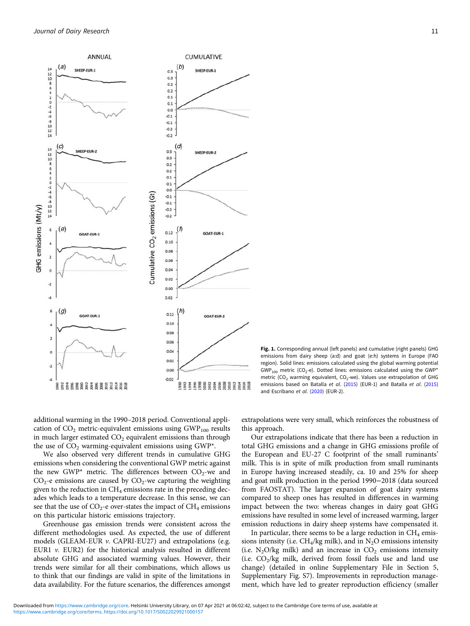

Fig. 1. Corresponding annual (left panels) and cumulative (right panels) GHG emissions from dairy sheep (a:d) and goat (e:h) systems in Europe (FAO region). Solid lines: emissions calculated using the global warming potential  $GWP<sub>100</sub>$  metric (CO<sub>2</sub>-e). Dotted lines: emissions calculated using the GWP<sup>\*</sup> metric (CO<sub>2</sub> warming equivalent, CO<sub>2</sub>-we). Values use extrapolation of GHG emissions based on Batalla et al. (2015) (EUR-1) and Batalla et al. (2015) and Escribano et al. (2020) (EUR-2).

additional warming in the 1990–2018 period. Conventional application of  $CO<sub>2</sub>$  metric-equivalent emissions using  $GWP<sub>100</sub>$  results in much larger estimated  $CO<sub>2</sub>$  equivalent emissions than through the use of  $CO<sub>2</sub>$  warming-equivalent emissions using GWP\*.

We also observed very different trends in cumulative GHG emissions when considering the conventional GWP metric against the new GWP\* metric. The differences between  $CO_2$ -we and  $CO<sub>2</sub>$ -e emissions are caused by  $CO<sub>2</sub>$ -we capturing the weighting given to the reduction in  $CH_4$  emissions rate in the preceding decades which leads to a temperature decrease. In this sense, we can see that the use of  $CO_2$ -e over-states the impact of  $CH_4$  emissions on this particular historic emissions trajectory.

Greenhouse gas emission trends were consistent across the different methodologies used. As expected, the use of different models (GLEAM-EUR v. CAPRI-EU27) and extrapolations (e.g. EUR1 v. EUR2) for the historical analysis resulted in different absolute GHG and associated warming values. However, their trends were similar for all their combinations, which allows us to think that our findings are valid in spite of the limitations in data availability. For the future scenarios, the differences amongst

extrapolations were very small, which reinforces the robustness of this approach.

Our extrapolations indicate that there has been a reduction in total GHG emissions and a change in GHG emissions profile of the European and EU-27 C footprint of the small ruminants' milk. This is in spite of milk production from small ruminants in Europe having increased steadily, ca. 10 and 25% for sheep and goat milk production in the period 1990−2018 (data sourced from FAOSTAT). The larger expansion of goat dairy systems compared to sheep ones has resulted in differences in warming impact between the two: whereas changes in dairy goat GHG emissions have resulted in some level of increased warming, larger emission reductions in dairy sheep systems have compensated it.

In particular, there seems to be a large reduction in  $CH_4$  emissions intensity (i.e.  $CH_4/kg$  milk), and in  $N_2O$  emissions intensity (i.e.  $N_2O/kg$  milk) and an increase in  $CO_2$  emissions intensity (i.e.  $CO_2/kg$  milk, derived from fossil fuels use and land use change) (detailed in online Supplementary File in Section 5, Supplementary Fig. S7). Improvements in reproduction management, which have led to greater reproduction efficiency (smaller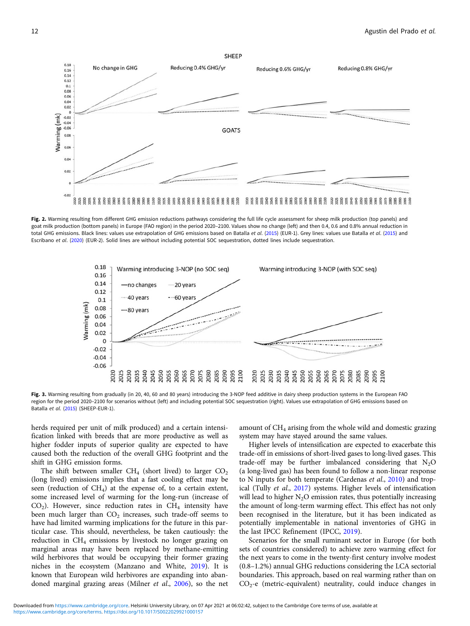Fig. 2. Warming resulting from different GHG emission reductions pathways considering the full life cycle assessment for sheep milk production (top panels) and goat milk production (bottom panels) in Europe (FAO region) in the period 2020–2100. Values show no change (left) and then 0.4, 0.6 and 0.8% annual reduction in total GHG emissions. Black lines: values use extrapolation of GHG emissions based on Batalla et al. (2015) (EUR-1). Grey lines: values use Batalla et al. (2015) and Escribano et al. (2020) (EUR-2). Solid lines are without including potential SOC sequestration, dotted lines include sequestration.



Fig. 3. Warming resulting from gradually (in 20, 40, 60 and 80 years) introducing the 3-NOP feed additive in dairy sheep production systems in the European FAO region for the period 2020–2100 for scenarios without (left) and including potential SOC sequestration (right). Values use extrapolation of GHG emissions based on Batalla et al. (2015) (SHEEP-EUR-1).

herds required per unit of milk produced) and a certain intensification linked with breeds that are more productive as well as higher fodder inputs of superior quality are expected to have caused both the reduction of the overall GHG footprint and the shift in GHG emission forms.

The shift between smaller CH<sub>4</sub> (short lived) to larger  $CO<sub>2</sub>$ (long lived) emissions implies that a fast cooling effect may be seen (reduction of  $CH<sub>4</sub>$ ) at the expense of, to a certain extent, some increased level of warming for the long-run (increase of  $CO<sub>2</sub>$ ). However, since reduction rates in  $CH<sub>4</sub>$  intensity have been much larger than  $CO<sub>2</sub>$  increases, such trade-off seems to have had limited warming implications for the future in this particular case. This should, nevertheless, be taken cautiously: the reduction in  $CH<sub>4</sub>$  emissions by livestock no longer grazing on marginal areas may have been replaced by methane-emitting wild herbivores that would be occupying their former grazing niches in the ecosystem (Manzano and White, 2019). It is known that European wild herbivores are expanding into abandoned marginal grazing areas (Milner et al., 2006), so the net

amount of  $CH<sub>4</sub>$  arising from the whole wild and domestic grazing system may have stayed around the same values.

Higher levels of intensification are expected to exacerbate this trade-off in emissions of short-lived gases to long-lived gases. This trade-off may be further imbalanced considering that  $N_2O$ (a long-lived gas) has been found to follow a non-linear response to N inputs for both temperate (Cardenas et al., 2010) and tropical (Tully et al., 2017) systems. Higher levels of intensification will lead to higher  $N_2O$  emission rates, thus potentially increasing the amount of long-term warming effect. This effect has not only been recognised in the literature, but it has been indicated as potentially implementable in national inventories of GHG in the last IPCC Refinement (IPCC, 2019).

Scenarios for the small ruminant sector in Europe (for both sets of countries considered) to achieve zero warming effect for the next years to come in the twenty-first century involve modest (0.8–1.2%) annual GHG reductions considering the LCA sectorial boundaries. This approach, based on real warming rather than on  $CO<sub>2</sub>$ -e (metric-equivalent) neutrality, could induce changes in



 $0.18$ 

 $0.16$  $0.14$  $0.12$  $0.1$  $0.08$ <br> $0.06$  $0.04$  $0.02$  $\epsilon$ 

 $-0.02$  $-0.04$  $-0.06$ 

0.08 0.06 0.04  $0.02$ 

 $-0.02$ 88

Narming (mk)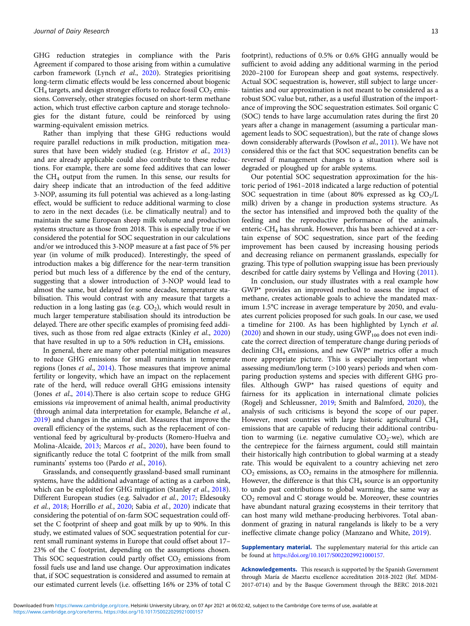GHG reduction strategies in compliance with the Paris Agreement if compared to those arising from within a cumulative carbon framework (Lynch et al., 2020). Strategies prioritising long-term climatic effects would be less concerned about biogenic  $CH<sub>4</sub>$  targets, and design stronger efforts to reduce fossil  $CO<sub>2</sub>$  emissions. Conversely, other strategies focused on short-term methane action, which trust effective carbon capture and storage technologies for the distant future, could be reinforced by using warming-equivalent emission metrics.

Rather than implying that these GHG reductions would require parallel reductions in milk production, mitigation measures that have been widely studied (e.g. Hristov et al., 2013) and are already applicable could also contribute to these reductions. For example, there are some feed additives that can lower the CH4 output from the rumen. In this sense, our results for dairy sheep indicate that an introduction of the feed additive 3-NOP, assuming its full potential was achieved as a long-lasting effect, would be sufficient to reduce additional warming to close to zero in the next decades (i.e. be climatically neutral) and to maintain the same European sheep milk volume and production systems structure as those from 2018. This is especially true if we considered the potential for SOC sequestration in our calculations and/or we introduced this 3-NOP measure at a fast pace of 5% per year (in volume of milk produced). Interestingly, the speed of introduction makes a big difference for the near-term transition period but much less of a difference by the end of the century, suggesting that a slower introduction of 3-NOP would lead to almost the same, but delayed for some decades, temperature stabilisation. This would contrast with any measure that targets a reduction in a long lasting gas (e.g.  $CO<sub>2</sub>$ ), which would result in much larger temperature stabilisation should its introduction be delayed. There are other specific examples of promising feed additives, such as those from red algae extracts (Kinley et al., 2020) that have resulted in up to a 50% reduction in  $CH_4$  emissions.

In general, there are many other potential mitigation measures to reduce GHG emissions for small ruminants in temperate regions (Jones et al., 2014). Those measures that improve animal fertility or longevity, which have an impact on the replacement rate of the herd, will reduce overall GHG emissions intensity (Jones et al., 2014).There is also certain scope to reduce GHG emissions via improvement of animal health, animal productivity (through animal data interpretation for example, Belanche et al., 2019) and changes in the animal diet. Measures that improve the overall efficiency of the systems, such as the replacement of conventional feed by agricultural by-products (Romero-Huelva and Molina-Alcaide, 2013; Marcos et al., 2020), have been found to significantly reduce the total C footprint of the milk from small ruminants' systems too (Pardo et al., 2016).

Grasslands, and consequently grassland-based small ruminant systems, have the additional advantage of acting as a carbon sink, which can be exploited for GHG mitigation (Stanley *et al.*, 2018). Different European studies (e.g. Salvador et al., 2017; Eldesouky et al., 2018; Horrillo et al., 2020; Sabia et al., 2020) indicate that considering the potential of on-farm SOC sequestration could offset the C footprint of sheep and goat milk by up to 90%. In this study, we estimated values of SOC sequestration potential for current small ruminant systems in Europe that could offset about 17– 23% of the C footprint, depending on the assumptions chosen. This SOC sequestration could partly offset  $CO<sub>2</sub>$  emissions from fossil fuels use and land use change. Our approximation indicates that, if SOC sequestration is considered and assumed to remain at our estimated current levels (i.e. offsetting 16% or 23% of total C

footprint), reductions of 0.5% or 0.6% GHG annually would be sufficient to avoid adding any additional warming in the period 2020–2100 for European sheep and goat systems, respectively. Actual SOC sequestration is, however, still subject to large uncertainties and our approximation is not meant to be considered as a robust SOC value but, rather, as a useful illustration of the importance of improving the SOC sequestration estimates. Soil organic C (SOC) tends to have large accumulation rates during the first 20 years after a change in management (assuming a particular management leads to SOC sequestration), but the rate of change slows down considerably afterwards (Powlson et al., 2011). We have not considered this or the fact that SOC sequestration benefits can be reversed if management changes to a situation where soil is degraded or ploughed up for arable systems.

Our potential SOC sequestration approximation for the historic period of 1961–2018 indicated a large reduction of potential SOC sequestration in time (about 80% expressed as kg  $CO<sub>2</sub>/L$ milk) driven by a change in production systems structure. As the sector has intensified and improved both the quality of the feeding and the reproductive performance of the animals, enteric-CH4 has shrunk. However, this has been achieved at a certain expense of SOC sequestration, since part of the feeding improvement has been caused by increasing housing periods and decreasing reliance on permanent grasslands, especially for grazing. This type of pollution swapping issue has been previously described for cattle dairy systems by Vellinga and Hoving (2011).

In conclusion, our study illustrates with a real example how GWP\* provides an improved method to assess the impact of methane, creates actionable goals to achieve the mandated maximum 1.5°C increase in average temperature by 2050, and evaluates current policies proposed for such goals. In our case, we used a timeline for 2100. As has been highlighted by Lynch et al. (2020) and shown in our study, using  $GWP<sub>100</sub>$  does not even indicate the correct direction of temperature change during periods of declining  $CH_4$  emissions, and new GWP\* metrics offer a much more appropriate picture. This is especially important when assessing medium/long term (>100 years) periods and when comparing production systems and species with different GHG profiles. Although GWP\* has raised questions of equity and fairness for its application in international climate policies (Rogelj and Schleussner, 2019; Smith and Balmford, 2020), the analysis of such criticisms is beyond the scope of our paper. However, most countries with large historic agricultural CH4 emissions that are capable of reducing their additional contribution to warming (i.e. negative cumulative  $CO_2$ -we), which are the centrepiece for the fairness argument, could still maintain their historically high contribution to global warming at a steady rate. This would be equivalent to a country achieving net zero  $CO<sub>2</sub>$  emissions, as  $CO<sub>2</sub>$  remains in the atmosphere for millennia. However, the difference is that this  $CH<sub>4</sub>$  source is an opportunity to undo past contributions to global warming, the same way as  $CO<sub>2</sub>$  removal and C storage would be. Moreover, these countries have abundant natural grazing ecosystems in their territory that can host many wild methane-producing herbivores. Total abandonment of grazing in natural rangelands is likely to be a very ineffective climate change policy (Manzano and White, 2019).

Supplementary material. The supplementary material for this article can be found at [https://doi.org/10.1017/S0022029921000157.](https://doi.org/10.1017/S0022029921000157)

Acknowledgements. This research is supported by the Spanish Government through María de Maeztu excellence accreditation 2018-2022 (Ref. MDM-2017-0714) and by the Basque Government through the BERC 2018-2021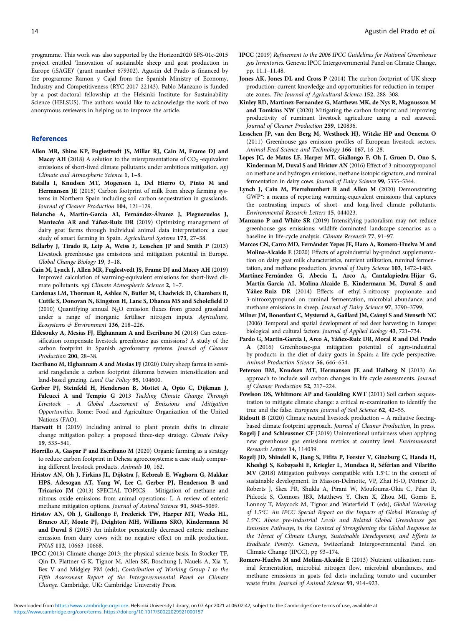programme. This work was also supported by the Horizon2020 SFS-01c-2015 project entitled 'Innovation of sustainable sheep and goat production in Europe (iSAGE)' (grant number 679302). Agustin del Prado is financed by the programme Ramon y Cajal from the Spanish Ministry of Economy, Industry and Competitiveness (RYC-2017-22143). Pablo Manzano is funded by a post-doctoral fellowship at the Helsinki Institute for Sustainability Science (HELSUS). The authors would like to acknowledge the work of two anonymous reviewers in helping us to improve the article.

#### References

- Allen MR, Shine KP, Fuglestvedt JS, Millar RJ, Cain M, Frame DJ and Macey AH (2018) A solution to the misrepresentations of  $CO_2$  -equivalent emissions of short-lived climate pollutants under ambitious mitigation. npj Climate and Atmospheric Science 1, 1–8.
- Batalla I, Knudsen MT, Mogensen L, Del Hierro O, Pinto M and Hermansen JE (2015) Carbon footprint of milk from sheep farming systems in Northern Spain including soil carbon sequestration in grasslands. Journal of Cleaner Production 104, 121–129.
- Belanche A, Martín-García AI, Fernández-Álvarez J, Pleguezuelos J, Mantecón AR and Yáñez-Ruiz DR (2019) Optimizing management of dairy goat farms through individual animal data interpretation: a case study of smart farming in Spain. Agricultural Systems 173, 27–38.
- Bellarby J, Tirado R, Leip A, Weiss F, Lesschen JP and Smith P (2013) Livestock greenhouse gas emissions and mitigation potential in Europe. Global Change Biology 19, 3–18.
- Cain M, Lynch J, Allen MR, Fuglestvedt JS, Frame DJ and Macey AH (2019) Improved calculation of warming-equivalent emissions for short-lived climate pollutants. npj Climate Atmospheric Science 2, 1–7.
- Cardenas LM, Thorman R, Ashlee N, Butler M, Chadwick D, Chambers B, Cuttle S, Donovan N, Kingston H, Lane S, Dhanoa MS and Scholefield D (2010) Quantifying annual  $N_2O$  emission fluxes from grazed grassland under a range of inorganic fertiliser nitrogen inputs. Agriculture, Ecosystems & Environment 136, 218–226.
- Eldesouky A, Mesias FJ, Elghannam A and Escribano M (2018) Can extensification compensate livestock greenhouse gas emissions? A study of the carbon footprint in Spanish agroforestry systems. Journal of Cleaner Production 200, 28–38.
- Escribano M, Elghannam A and Mesias FJ (2020) Dairy sheep farms in semiarid rangelands: a carbon footprint dilemma between intensification and land-based grazing. Land Use Policy 95, 104600.
- Gerber PJ, Steinfeld H, Henderson B, Mottet A, Opio C, Dijkman J, Falcucci A and Tempio G 2013 Tackling Climate Change Through Livestock – A Global Assessment of Emissions and Mitigation Opportunities. Rome: Food and Agriculture Organization of the United Nations (FAO).
- Harwatt H (2019) Including animal to plant protein shifts in climate change mitigation policy: a proposed three-step strategy. Climate Policy 19, 533–541.
- Horrillo A, Gaspar P and Escribano M (2020) Organic farming as a strategy to reduce carbon footprint in Dehesa agroecosystems: a case study comparing different livestock products. Animals 10, 162.
- Hristov AN, Oh J, Firkins JL, Dijkstra J, Kebreab E, Waghorn G, Makkar HPS, Adesogan AT, Yang W, Lee C, Gerber PJ, Henderson B and Tricarico JM (2013) SPECIAL TOPICS – Mitigation of methane and nitrous oxide emissions from animal operations: I. A review of enteric methane mitigation options. Journal of Animal Science 91, 5045–5069.
- Hristov AN, Oh J, Giallongo F, Frederick TW, Harper MT, Weeks HL, Branco AF, Moate PJ, Deighton MH, Williams SRO, Kindermann M and Duval S (2015) An inhibitor persistently decreased enteric methane emission from dairy cows with no negative effect on milk production. PNAS 112, 10663–10668.
- IPCC (2013) Climate change 2013: the physical science basis. In Stocker TF, Qin D, Plattner G-K, Tignor M, Allen SK, Boschung J, Nauels A, Xia Y, Bex V and Midgley PM (eds), Contribution of Working Group I to the Fifth Assessment Report of the Intergovernmental Panel on Climate Change. Cambridge, UK: Cambridge University Press.
- IPCC (2019) Refinement to the 2006 IPCC Guidelines for National Greenhouse gas Inventories. Geneva: IPCC Intergovernmental Panel on Climate Change, pp. 11.1–11.48.
- Jones AK, Jones DL and Cross P (2014) The carbon footprint of UK sheep production: current knowledge and opportunities for reduction in temperate zones. The Journal of Agricultural Science 152, 288–308.
- Kinley RD, Martinez-Fernandez G, Matthews MK, de Nys R, Magnusson M and Tomkins NW (2020) Mitigating the carbon footprint and improving productivity of ruminant livestock agriculture using a red seaweed. Journal of Cleaner Production 259, 120836.
- Lesschen JP, van den Berg M, Westhoek HJ, Witzke HP and Oenema O (2011) Greenhouse gas emission profiles of European livestock sectors. Animal Feed Science and Technology 166–167, 16–28.
- Lopes JC, de Matos LF, Harper MT, Giallongo F, Oh J, Gruen D, Ono S, Kinderman M, Duval S and Hristov AN (2016) Effect of 3-nitrooxypropanol on methane and hydrogen emissions, methane isotopic signature, and ruminal fermentation in dairy cows. Journal of Dairy Science 99, 5335–5344.
- Lynch J, Cain M, Pierrehumbert R and Allen M (2020) Demonstrating GWP\*: a means of reporting warming-equivalent emissions that captures the contrasting impacts of short- and long-lived climate pollutants. Environmental Research Letters 15, 044023.
- Manzano P and White SR (2019) Intensifying pastoralism may not reduce greenhouse gas emissions: wildlife-dominated landscape scenarios as a baseline in life-cycle analysis. Climate Research 77, 91–97.
- Marcos CN, Carro MD, Fernández Yepes JE, Haro A, Romero-Huelva M and Molina-Alcaide E (2020) Effects of agroindustrial by-product supplementation on dairy goat milk characteristics, nutrient utilization, ruminal fermentation, and methane production. Journal of Dairy Science 103, 1472–1483.
- Martínez-Fernández G, Abecia L, Arco A, Cantalapiedra-Hijar G, Martín-García AI, Molina-Alcaide E, Kindermann M, Duval S and Yáñez-Ruiz DR (2014) Effects of ethyl-3-nitrooxy propionate and 3-nitrooxypropanol on ruminal fermentation, microbial abundance, and methane emissions in sheep. Journal of Dairy Science 97, 3790–3799.
- Milner JM, Bonenfant C, Mysterud A, Gaillard JM, Csányi S and Stenseth NC (2006) Temporal and spatial development of red deer harvesting in Europe: biological and cultural factors. Journal of Applied Ecology 43, 721–734.
- Pardo G, Martin-Garcia I, Arco A, Yáñez-Ruiz DR, Moral R and Del Prado A (2016) Greenhouse-gas mitigation potential of agro-industrial by-products in the diet of dairy goats in Spain: a life-cycle perspective. Animal Production Science 56, 646–654.
- Petersen BM, Knudsen MT, Hermansen JE and Halberg N (2013) An approach to include soil carbon changes in life cycle assessments. Journal of Cleaner Production 52, 217–224.
- Powlson DS, Whitmore AP and Goulding KWT (2011) Soil carbon sequestration to mitigate climate change: a critical re-examination to identify the true and the false. European Journal of Soil Science 62, 42–55.
- Ridoutt B (2020) Climate neutral livestock production A radiative forcingbased climate footprint approach. Journal of Cleaner Production, In press.
- Rogelj J and Schleussner CF (2019) Unintentional unfairness when applying new greenhouse gas emissions metrics at country level. Environmental Research Letters 14, 114039.
- Rogelj JD, Shindell K, Jiang S, Fifita P, Forster V, Ginzburg C, Handa H, Kheshgi S, Kobayashi E, Kriegler L, Mundaca R, Séférian and Vilariño MV (2018) Mitigation pathways compatible with 1.5°C in the context of sustainable development. In Masson-Delmotte, VP, Zhai H-O, Pörtner D, Roberts J, Skea PR, Shukla A, Pirani W, Moufouma-Okia C, Péan R, Pidcock S, Connors JBR, Matthews Y, Chen X, Zhou MI, Gomis E, Lonnoy T, Maycock M, Tignor and Waterfield T (eds), Global Warming of 1.5°C. An IPCC Special Report on the Impacts of Global Warming of 1.5°C Above pre-Industrial Levels and Related Global Greenhouse gas Emission Pathways, in the Context of Strengthening the Global Response to the Threat of Climate Change, Sustainable Development, and Efforts to Eradicate Poverty. Geneva, Switzerland: Intergovernmental Panel on Climate Change (IPCC), pp 93–174.
- Romero-Huelva M and Molina-Alcaide E (2013) Nutrient utilization, ruminal fermentation, microbial nitrogen flow, microbial abundances, and methane emissions in goats fed diets including tomato and cucumber waste fruits. Journal of Animal Science 91, 914–923.